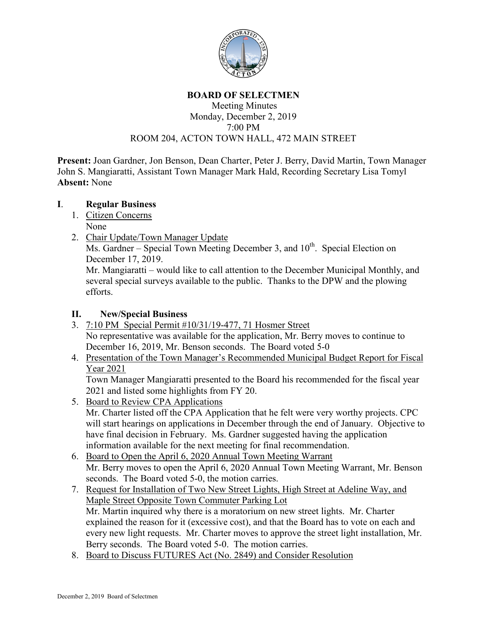

# **BOARD OF SELECTMEN**

### Meeting Minutes Monday, December 2, 2019 7:00 PM ROOM 204, ACTON TOWN HALL, 472 MAIN STREET

**Present:** Joan Gardner, Jon Benson, Dean Charter, Peter J. Berry, David Martin, Town Manager John S. Mangiaratti, Assistant Town Manager Mark Hald, Recording Secretary Lisa Tomyl **Absent:** None

# **I**. **Regular Business**

- 1. Citizen Concerns None
- 2. Chair Update/Town Manager Update

Ms. Gardner – Special Town Meeting December 3, and  $10^{th}$ . Special Election on December 17, 2019.

Mr. Mangiaratti – would like to call attention to the December Municipal Monthly, and several special surveys available to the public. Thanks to the DPW and the plowing efforts.

## **II. New/Special Business**

- 3. 7:10 PM Special Permit #10/31/19-477, 71 Hosmer Street No representative was available for the application, Mr. Berry moves to continue to December 16, 2019, Mr. Benson seconds. The Board voted 5-0
- 4. Presentation of the Town Manager's Recommended Municipal Budget Report for Fiscal Year 2021

Town Manager Mangiaratti presented to the Board his recommended for the fiscal year 2021 and listed some highlights from FY 20.

- 5. Board to Review CPA Applications Mr. Charter listed off the CPA Application that he felt were very worthy projects. CPC will start hearings on applications in December through the end of January. Objective to have final decision in February. Ms. Gardner suggested having the application information available for the next meeting for final recommendation.
- 6. Board to Open the April 6, 2020 Annual Town Meeting Warrant Mr. Berry moves to open the April 6, 2020 Annual Town Meeting Warrant, Mr. Benson seconds. The Board voted 5-0, the motion carries.
- 7. Request for Installation of Two New Street Lights, High Street at Adeline Way, and Maple Street Opposite Town Commuter Parking Lot Mr. Martin inquired why there is a moratorium on new street lights. Mr. Charter explained the reason for it (excessive cost), and that the Board has to vote on each and every new light requests. Mr. Charter moves to approve the street light installation, Mr. Berry seconds. The Board voted 5-0. The motion carries.
- 8. Board to Discuss FUTURES Act (No. 2849) and Consider Resolution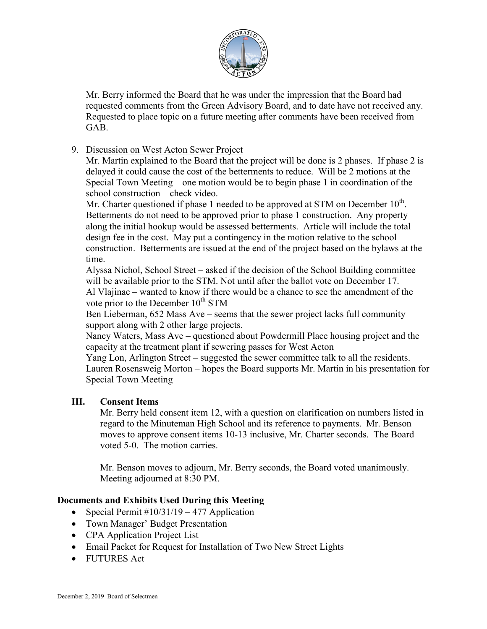

Mr. Berry informed the Board that he was under the impression that the Board had requested comments from the Green Advisory Board, and to date have not received any. Requested to place topic on a future meeting after comments have been received from GAB.

# 9. Discussion on West Acton Sewer Project

Mr. Martin explained to the Board that the project will be done is 2 phases. If phase 2 is delayed it could cause the cost of the betterments to reduce. Will be 2 motions at the Special Town Meeting – one motion would be to begin phase 1 in coordination of the school construction – check video.

Mr. Charter questioned if phase 1 needed to be approved at STM on December  $10^{th}$ . Betterments do not need to be approved prior to phase 1 construction. Any property along the initial hookup would be assessed betterments. Article will include the total design fee in the cost. May put a contingency in the motion relative to the school construction. Betterments are issued at the end of the project based on the bylaws at the time.

Alyssa Nichol, School Street – asked if the decision of the School Building committee will be available prior to the STM. Not until after the ballot vote on December 17. Al Vlajinac – wanted to know if there would be a chance to see the amendment of the vote prior to the December  $10^{th}$  STM

Ben Lieberman, 652 Mass Ave – seems that the sewer project lacks full community support along with 2 other large projects.

Nancy Waters, Mass Ave – questioned about Powdermill Place housing project and the capacity at the treatment plant if sewering passes for West Acton

Yang Lon, Arlington Street – suggested the sewer committee talk to all the residents. Lauren Rosensweig Morton – hopes the Board supports Mr. Martin in his presentation for Special Town Meeting

#### **III. Consent Items**

Mr. Berry held consent item 12, with a question on clarification on numbers listed in regard to the Minuteman High School and its reference to payments. Mr. Benson moves to approve consent items 10-13 inclusive, Mr. Charter seconds. The Board voted 5-0. The motion carries.

Mr. Benson moves to adjourn, Mr. Berry seconds, the Board voted unanimously. Meeting adjourned at 8:30 PM.

# **Documents and Exhibits Used During this Meeting**

- Special Permit  $\#10/31/19 477$  Application
- Town Manager' Budget Presentation
- CPA Application Project List
- Email Packet for Request for Installation of Two New Street Lights
- FUTURES Act